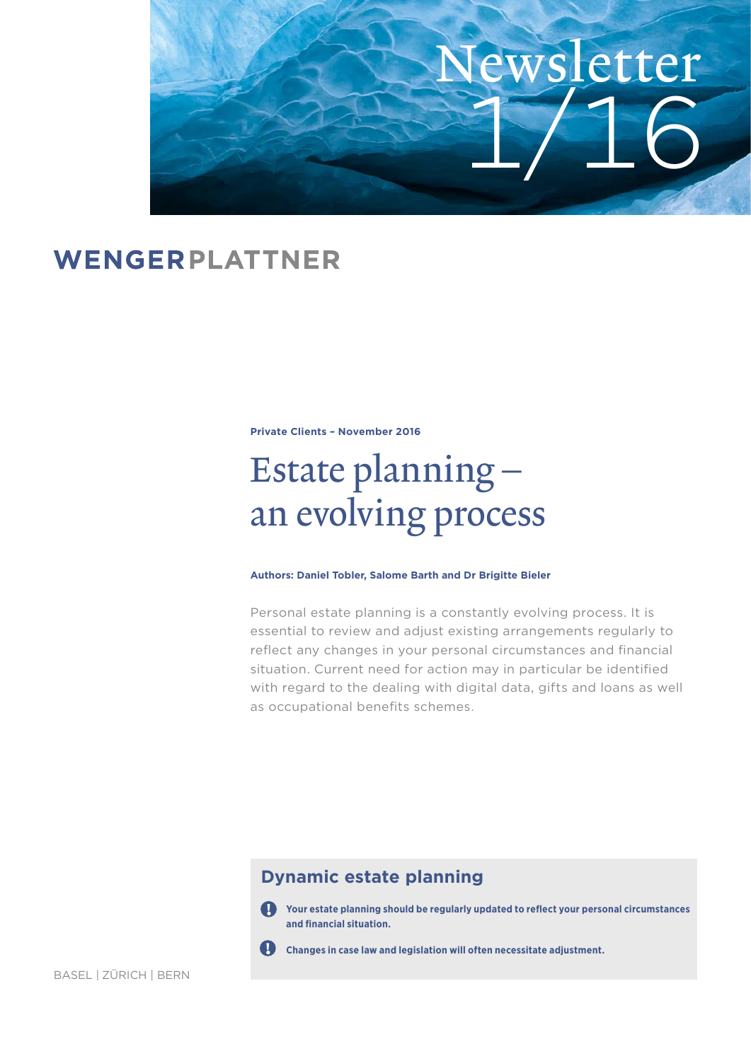

## WENGERPLATTNER

**Private Clients – November 2016**

# Estate planning – an evolving process

#### **Authors: Daniel Tobler, Salome Barth and Dr Brigitte Bieler**

Personal estate planning is a constantly evolving process. It is essential to review and adjust existing arrangements regularly to reflect any changes in your personal circumstances and financial situation. Current need for action may in particular be identified with regard to the dealing with digital data, gifts and loans as well as occupational benefits schemes.

### **Dynamic estate planning**

**Your estate planning should be regularly updated to reflect your personal circumstances and financial situation.**



**Changes in case law and legislation will often necessitate adjustment.**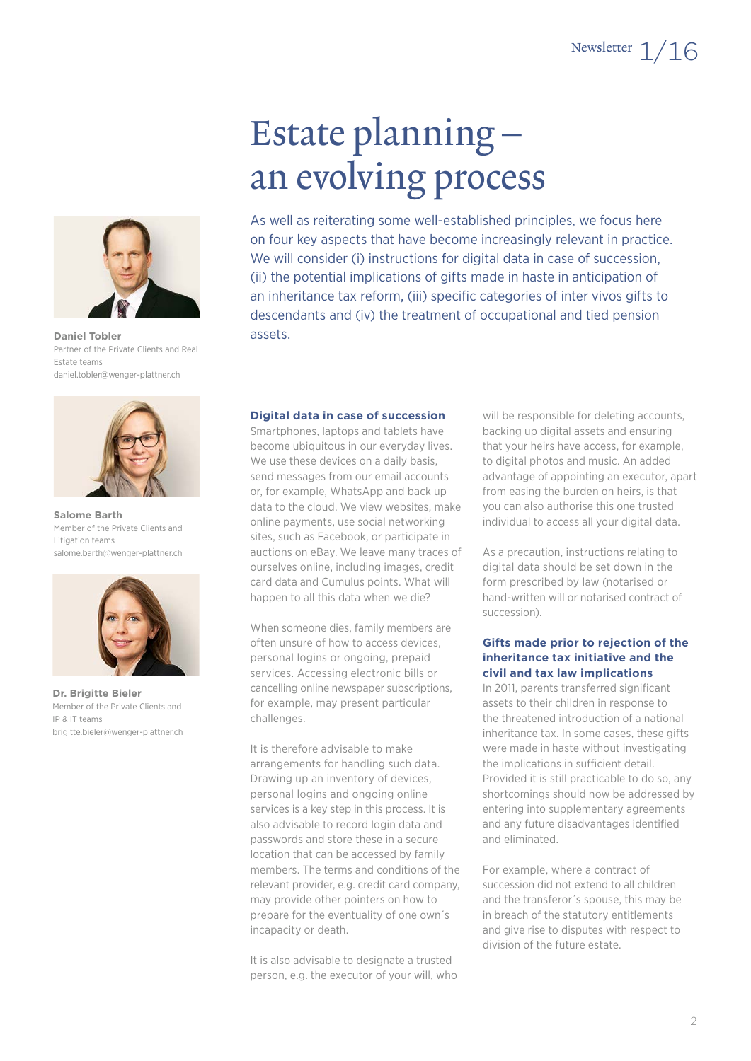

**[Daniel Tobler](http://www.wenger-plattner.ch/en/specialists/54/tobler-daniel)** Partner of the Private Clients and Real Estate teams daniel.tobler@wenger-plattner.ch



**Salome Barth** Member of the Private Clients and Litigation teams salome.barth@wenger-plattner.ch



**[Dr. Brigitte Bieler](http://www.wenger-plattner.ch/en/specialists/12/bieler-brigitte)** Member of the Private Clients and IP & IT teams [brigitte.bieler@wenger-plattner.ch](http://www.wenger-plattner.ch/en/specialists/10/barth-salome)

# Estate planning – an evolving process

As well as reiterating some well-established principles, we focus here on four key aspects that have become increasingly relevant in practice. We will consider (i) instructions for digital data in case of succession, (ii) the potential implications of gifts made in haste in anticipation of an inheritance tax reform, (iii) specific categories of inter vivos gifts to descendants and (iv) the treatment of occupational and tied pension assets.

#### **Digital data in case of succession**

Smartphones, laptops and tablets have become ubiquitous in our everyday lives. We use these devices on a daily basis, send messages from our email accounts or, for example, WhatsApp and back up data to the cloud. We view websites, make online payments, use social networking sites, such as Facebook, or participate in auctions on eBay. We leave many traces of ourselves online, including images, credit card data and Cumulus points. What will happen to all this data when we die?

When someone dies, family members are often unsure of how to access devices, personal logins or ongoing, prepaid services. Accessing electronic bills or cancelling online newspaper subscriptions, for example, may present particular challenges.

It is therefore advisable to make arrangements for handling such data. Drawing up an inventory of devices, personal logins and ongoing online services is a key step in this process. It is also advisable to record login data and passwords and store these in a secure location that can be accessed by family members. The terms and conditions of the relevant provider, e.g. credit card company, may provide other pointers on how to prepare for the eventuality of one own´s incapacity or death.

It is also advisable to designate a trusted person, e.g. the executor of your will, who

will be responsible for deleting accounts, backing up digital assets and ensuring that your heirs have access, for example, to digital photos and music. An added advantage of appointing an executor, apart from easing the burden on heirs, is that you can also authorise this one trusted individual to access all your digital data.

As a precaution, instructions relating to digital data should be set down in the form prescribed by law (notarised or hand-written will or notarised contract of succession).

#### **Gifts made prior to rejection of the inheritance tax initiative and the civil and tax law implications**

In 2011, parents transferred significant assets to their children in response to the threatened introduction of a national inheritance tax. In some cases, these gifts were made in haste without investigating the implications in sufficient detail. Provided it is still practicable to do so, any shortcomings should now be addressed by entering into supplementary agreements and any future disadvantages identified and eliminated.

For example, where a contract of succession did not extend to all children and the transferor´s spouse, this may be in breach of the statutory entitlements and give rise to disputes with respect to division of the future estate.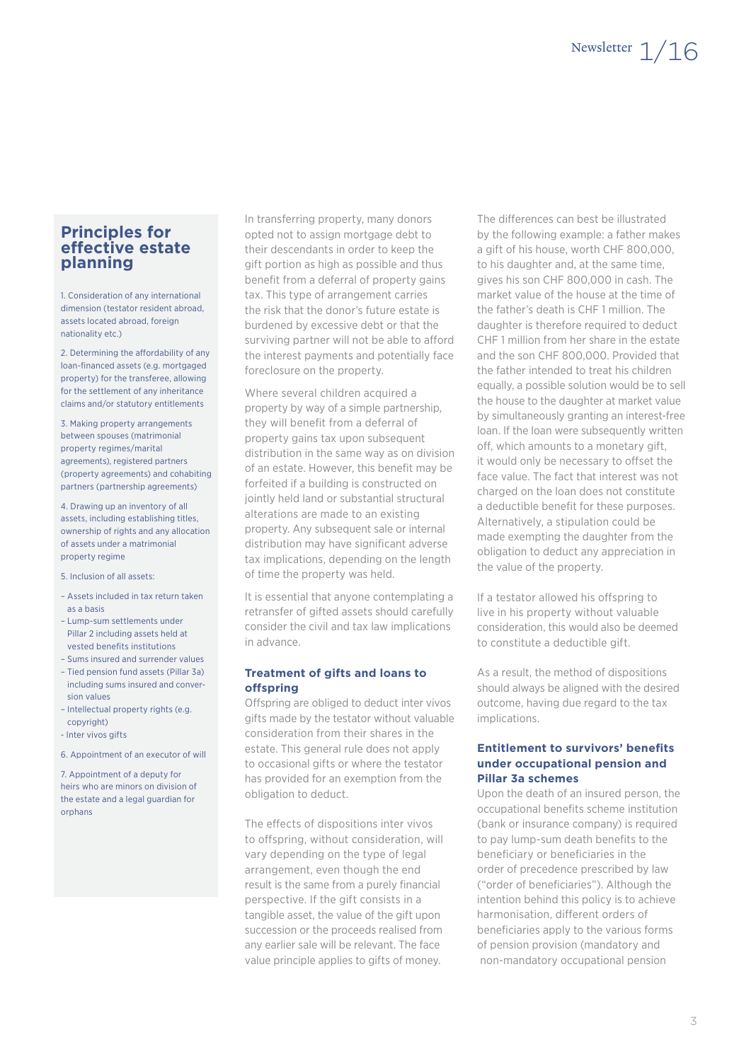### **Principles for effective estate planning**

1. Consideration of any international dimension (testator resident abroad, assets located abroad, foreign nationality etc.)

2. Determining the affordability of any loan-financed assets (e.g. mortgaged property) for the transferee, allowing for the settlement of any inheritance claims and/or statutory entitlements

3. Making property arrangements between spouses (matrimonial property regimes/marital agreements), registered partners (property agreements) and cohabiting partners (partnership agreements)

4. Drawing up an inventory of all assets, including establishing titles, ownership of rights and any allocation of assets under a matrimonial property regime

- 5. Inclusion of all assets:
- Assets included in tax return taken as a basis
- Lump-sum settlements under Pillar 2 including assets held at vested benefits institutions
- Sums insured and surrender values
- Tied pension fund assets (Pillar 3a) including sums insured and conversion values
- Intellectual property rights (e.g. copyright)
- Inter vivos gifts

6. Appointment of an executor of will

7. Appointment of a deputy for heirs who are minors on division of the estate and a legal guardian for orphans

In transferring property, many donors opted not to assign mortgage debt to their descendants in order to keep the gift portion as high as possible and thus benefit from a deferral of property gains tax. This type of arrangement carries the risk that the donor's future estate is burdened by excessive debt or that the surviving partner will not be able to afford the interest payments and potentially face foreclosure on the property.

Where several children acquired a property by way of a simple partnership, they will benefit from a deferral of property gains tax upon subsequent distribution in the same way as on division of an estate. However, this benefit may be forfeited if a building is constructed on jointly held land or substantial structural alterations are made to an existing property. Any subsequent sale or internal distribution may have significant adverse tax implications, depending on the length of time the property was held.

It is essential that anyone contemplating a retransfer of gifted assets should carefully consider the civil and tax law implications in advance.

#### **Treatment of gifts and loans to offspring**

Offspring are obliged to deduct inter vivos gifts made by the testator without valuable consideration from their shares in the estate. This general rule does not apply to occasional gifts or where the testator has provided for an exemption from the obligation to deduct.

The effects of dispositions inter vivos to offspring, without consideration, will vary depending on the type of legal arrangement, even though the end result is the same from a purely financial perspective. If the gift consists in a tangible asset, the value of the gift upon succession or the proceeds realised from any earlier sale will be relevant. The face value principle applies to gifts of money.

The differences can best be illustrated by the following example: a father makes a gift of his house, worth CHF 800,000, to his daughter and, at the same time, gives his son CHF 800,000 in cash. The market value of the house at the time of the father's death is CHF 1 million. The daughter is therefore required to deduct CHF 1 million from her share in the estate and the son CHF 800,000. Provided that the father intended to treat his children equally, a possible solution would be to sell the house to the daughter at market value by simultaneously granting an interest-free loan. If the loan were subsequently written off, which amounts to a monetary gift, it would only be necessary to offset the face value. The fact that interest was not charged on the loan does not constitute a deductible benefit for these purposes. Alternatively, a stipulation could be made exempting the daughter from the obligation to deduct any appreciation in the value of the property.

If a testator allowed his offspring to live in his property without valuable consideration, this would also be deemed to constitute a deductible gift.

As a result, the method of dispositions should always be aligned with the desired outcome, having due regard to the tax implications.

#### **Entitlement to survivors' benefits under occupational pension and Pillar 3a schemes**

Upon the death of an insured person, the occupational benefits scheme institution (bank or insurance company) is required to pay lump-sum death benefits to the beneficiary or beneficiaries in the order of precedence prescribed by law ("order of beneficiaries"). Although the intention behind this policy is to achieve harmonisation, different orders of beneficiaries apply to the various forms of pension provision (mandatory and non-mandatory occupational pension